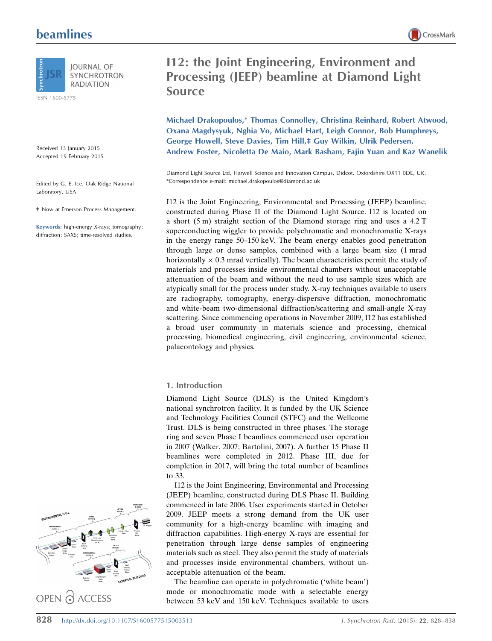# beamlines



**IOURNAL OF SYNCHROTRON RADIATION** 

ISSN 1600-5775

Received 13 January 2015 Accepted 19 February 2015

Edited by G. E. Ice, Oak Ridge National Laboratory, USA

‡ Now at Emerson Process Management.

Keywords: high-energy X-rays; tomography; diffraction; SAXS; time-resolved studies.

# I12: the Joint Engineering, Environment and Processing (JEEP) beamline at Diamond Light

Michael Drakopoulos,\* Thomas Connolley, Christina Reinhard, Robert Atwood, Oxana Magdysyuk, Nghia Vo, Michael Hart, Leigh Connor, Bob Humphreys, George Howell, Steve Davies, Tim Hill,‡ Guy Wilkin, Ulrik Pedersen, Andrew Foster, Nicoletta De Maio, Mark Basham, Fajin Yuan and Kaz Wanelik

Diamond Light Source Ltd, Harwell Science and Innovation Campus, Didcot, Oxfordshire OX11 0DE, UK. \*Correspondence e-mail: michael.drakopoulos@diamond.ac.uk

I12 is the Joint Engineering, Environmental and Processing (JEEP) beamline, constructed during Phase II of the Diamond Light Source. I12 is located on a short (5 m) straight section of the Diamond storage ring and uses a 4.2 T superconducting wiggler to provide polychromatic and monochromatic X-rays in the energy range 50–150 keV. The beam energy enables good penetration through large or dense samples, combined with a large beam size (1 mrad horizontally  $\times$  0.3 mrad vertically). The beam characteristics permit the study of materials and processes inside environmental chambers without unacceptable attenuation of the beam and without the need to use sample sizes which are atypically small for the process under study. X-ray techniques available to users are radiography, tomography, energy-dispersive diffraction, monochromatic and white-beam two-dimensional diffraction/scattering and small-angle X-ray scattering. Since commencing operations in November 2009, I12 has established a broad user community in materials science and processing, chemical processing, biomedical engineering, civil engineering, environmental science, palaeontology and physics.

# 1. Introduction

Source

Diamond Light Source (DLS) is the United Kingdom's national synchrotron facility. It is funded by the UK Science and Technology Facilities Council (STFC) and the Wellcome Trust. DLS is being constructed in three phases. The storage ring and seven Phase I beamlines commenced user operation in 2007 (Walker, 2007; Bartolini, 2007). A further 15 Phase II beamlines were completed in 2012. Phase III, due for completion in 2017, will bring the total number of beamlines to 33.

I12 is the Joint Engineering, Environmental and Processing (JEEP) beamline, constructed during DLS Phase II. Building commenced in late 2006. User experiments started in October 2009. JEEP meets a strong demand from the UK user community for a high-energy beamline with imaging and diffraction capabilities. High-energy X-rays are essential for penetration through large dense samples of engineering materials such as steel. They also permit the study of materials and processes inside environmental chambers, without unacceptable attenuation of the beam.

The beamline can operate in polychromatic ('white beam') mode or monochromatic mode with a selectable energy between 53 keV and 150 keV. Techniques available to users

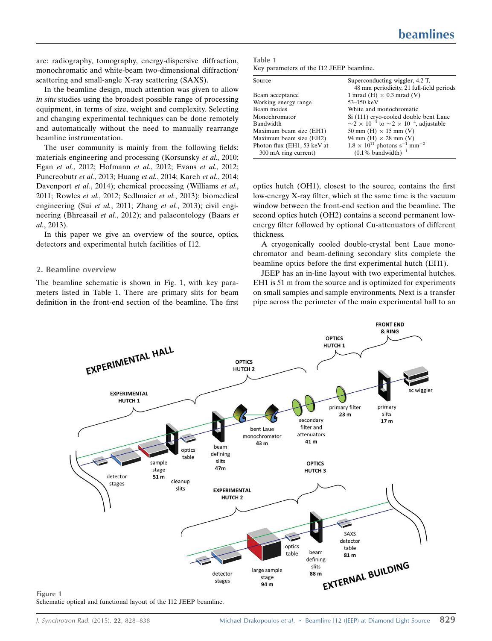are: radiography, tomography, energy-dispersive diffraction, monochromatic and white-beam two-dimensional diffraction/ scattering and small-angle X-ray scattering (SAXS).

In the beamline design, much attention was given to allow in situ studies using the broadest possible range of processing equipment, in terms of size, weight and complexity. Selecting and changing experimental techniques can be done remotely and automatically without the need to manually rearrange beamline instrumentation.

The user community is mainly from the following fields: materials engineering and processing (Korsunsky et al., 2010; Egan et al., 2012; Hofmann et al., 2012; Evans et al., 2012; Puncreobutr et al., 2013; Huang et al., 2014; Kareh et al., 2014; Davenport et al., 2014); chemical processing (Williams et al., 2011; Rowles et al., 2012; Sedlmaier et al., 2013); biomedical engineering (Sui et al., 2011; Zhang et al., 2013); civil engineering (Bhreasail et al., 2012); and palaeontology (Baars et al., 2013).

In this paper we give an overview of the source, optics, detectors and experimental hutch facilities of I12.

## 2. Beamline overview

The beamline schematic is shown in Fig. 1, with key parameters listed in Table 1. There are primary slits for beam definition in the front-end section of the beamline. The first

| Table 1                                  |  |  |
|------------------------------------------|--|--|
| Key parameters of the I12 JEEP beamline. |  |  |

| Source                      | Superconducting wiggler, 4.2 T,<br>48 mm periodicity, 21 full-field periods |  |  |
|-----------------------------|-----------------------------------------------------------------------------|--|--|
| Beam acceptance             | 1 mrad (H) $\times$ 0.3 mrad (V)                                            |  |  |
| Working energy range        | 53–150 keV                                                                  |  |  |
| Beam modes                  | White and monochromatic                                                     |  |  |
| Monochromator               | Si (111) cryo-cooled double bent Laue                                       |  |  |
| Bandwidth                   | $\sim$ 2 × 10 <sup>-3</sup> to $\sim$ 2 × 10 <sup>-4</sup> , adjustable     |  |  |
| Maximum beam size (EH1)     | 50 mm (H) $\times$ 15 mm (V)                                                |  |  |
| Maximum beam size (EH2)     | 94 mm (H) $\times$ 28 mm (V)                                                |  |  |
| Photon flux (EH1, 53 keV at | $1.8 \times 10^{11}$ photons s <sup>-1</sup> mm <sup>-2</sup>               |  |  |
| 300 mA ring current)        | $(0.1\%$ bandwidth) <sup>-1</sup>                                           |  |  |
|                             |                                                                             |  |  |

optics hutch (OH1), closest to the source, contains the first low-energy X-ray filter, which at the same time is the vacuum window between the front-end section and the beamline. The second optics hutch (OH2) contains a second permanent lowenergy filter followed by optional Cu-attenuators of different thickness.

A cryogenically cooled double-crystal bent Laue monochromator and beam-defining secondary slits complete the beamline optics before the first experimental hutch (EH1).

JEEP has an in-line layout with two experimental hutches. EH1 is 51 m from the source and is optimized for experiments on small samples and sample environments. Next is a transfer pipe across the perimeter of the main experimental hall to an



Schematic optical and functional layout of the I12 JEEP beamline.

Figure 1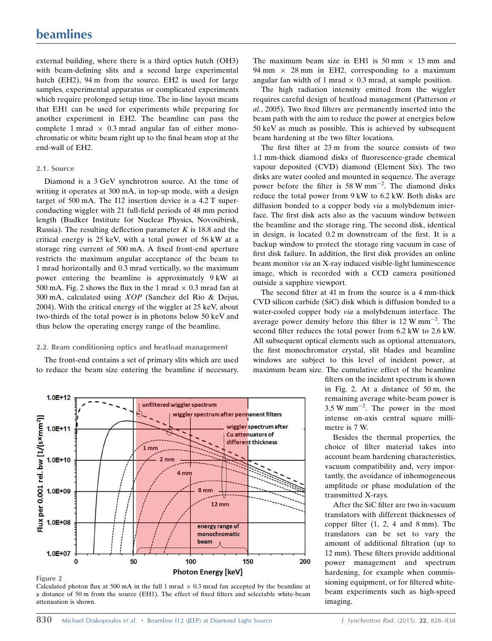external building, where there is a third optics hutch (OH3) with beam-defining slits and a second large experimental hutch (EH2), 94 m from the source. EH2 is used for large samples, experimental apparatus or complicated experiments which require prolonged setup time. The in-line layout means that EH1 can be used for experiments while preparing for another experiment in EH2. The beamline can pass the complete 1 mrad  $\times$  0.3 mrad angular fan of either monochromatic or white beam right up to the final beam stop at the end-wall of EH2.

#### 2.1. Source

Diamond is a 3 GeV synchrotron source. At the time of writing it operates at 300 mA, in top-up mode, with a design target of 500 mA. The I12 insertion device is a 4.2 T superconducting wiggler with 21 full-field periods of 48 mm period length (Budker Institute for Nuclear Physics, Novosibirsk, Russia). The resulting deflection parameter  $K$  is 18.8 and the critical energy is 25 keV, with a total power of 56 kW at a storage ring current of 500 mA. A fixed front-end aperture restricts the maximum angular acceptance of the beam to 1 mrad horizontally and 0.3 mrad vertically, so the maximum power entering the beamline is approximately 9 kW at 500 mA. Fig. 2 shows the flux in the 1 mrad  $\times$  0.3 mrad fan at 300 mA, calculated using XOP (Sanchez del Rio & Dejus, 2004). With the critical energy of the wiggler at 25 keV, about two-thirds of the total power is in photons below 50 keV and thus below the operating energy range of the beamline.

#### 2.2. Beam conditioning optics and heatload management

The front-end contains a set of primary slits which are used to reduce the beam size entering the beamline if necessary.



The high radiation intensity emitted from the wiggler requires careful design of heatload management (Patterson et al., 2005). Two fixed filters are permanently inserted into the beam path with the aim to reduce the power at energies below 50 keV as much as possible. This is achieved by subsequent beam hardening at the two filter locations.

The first filter at 23 m from the source consists of two 1.1 mm-thick diamond disks of fluorescence-grade chemical vapour deposited (CVD) diamond (Element Six). The two disks are water cooled and mounted in sequence. The average power before the filter is 58 W mm<sup> $-2$ </sup>. The diamond disks reduce the total power from 9 kW to 6.2 kW. Both disks are diffusion bonded to a copper body via a molybdenum interface. The first disk acts also as the vacuum window between the beamline and the storage ring. The second disk, identical in design, is located 0.2 m downstream of the first. It is a backup window to protect the storage ring vacuum in case of first disk failure. In addition, the first disk provides an online beam monitor via an X-ray induced visible-light luminescence image, which is recorded with a CCD camera positioned outside a sapphire viewport.

The second filter at 41 m from the source is a 4 mm-thick CVD silicon carbide (SiC) disk which is diffusion bonded to a water-cooled copper body via a molybdenum interface. The average power density before this filter is  $12 \text{ W mm}^{-2}$ . The second filter reduces the total power from 6.2 kW to 2.6 kW. All subsequent optical elements such as optional attenuators, the first monochromator crystal, slit blades and beamline windows are subject to this level of incident power, at maximum beam size. The cumulative effect of the beamline

> filters on the incident spectrum is shown in Fig. 2. At a distance of 50 m, the remaining average white-beam power is  $3.5 \text{ W mm}^{-2}$ . The power in the most intense on-axis central square millimetre is 7 W.

> Besides the thermal properties, the choice of filter material takes into account beam hardening characteristics, vacuum compatibility and, very importantly, the avoidance of inhomogeneous amplitude or phase modulation of the transmitted X-rays.

> After the SiC filter are two in-vacuum translators with different thicknesses of copper filter (1, 2, 4 and 8 mm). The translators can be set to vary the amount of additional filtration (up to 12 mm). These filters provide additional power management and spectrum hardening, for example when commissioning equipment, or for filtered whitebeam experiments such as high-speed imaging.

attenuation is shown.



a distance of 50 m from the source (EH1). The effect of fixed filters and selectable white-beam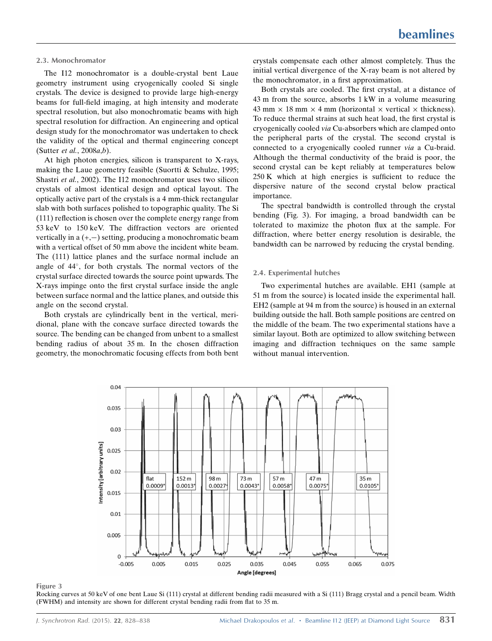#### 2.3. Monochromator

The I12 monochromator is a double-crystal bent Laue geometry instrument using cryogenically cooled Si single crystals. The device is designed to provide large high-energy beams for full-field imaging, at high intensity and moderate spectral resolution, but also monochromatic beams with high spectral resolution for diffraction. An engineering and optical design study for the monochromator was undertaken to check the validity of the optical and thermal engineering concept (Sutter et al., 2008a,b).

At high photon energies, silicon is transparent to X-rays, making the Laue geometry feasible (Suortti & Schulze, 1995; Shastri et al., 2002). The I12 monochromator uses two silicon crystals of almost identical design and optical layout. The optically active part of the crystals is a 4 mm-thick rectangular slab with both surfaces polished to topographic quality. The Si (111) reflection is chosen over the complete energy range from 53 keV to 150 keV. The diffraction vectors are oriented vertically in a  $(+,-)$  setting, producing a monochromatic beam with a vertical offset of 50 mm above the incident white beam. The (111) lattice planes and the surface normal include an angle of  $44^{\circ}$ , for both crystals. The normal vectors of the crystal surface directed towards the source point upwards. The X-rays impinge onto the first crystal surface inside the angle between surface normal and the lattice planes, and outside this angle on the second crystal.

Both crystals are cylindrically bent in the vertical, meridional, plane with the concave surface directed towards the source. The bending can be changed from unbent to a smallest bending radius of about 35 m. In the chosen diffraction geometry, the monochromatic focusing effects from both bent crystals compensate each other almost completely. Thus the initial vertical divergence of the X-ray beam is not altered by the monochromator, in a first approximation.

Both crystals are cooled. The first crystal, at a distance of 43 m from the source, absorbs 1 kW in a volume measuring  $43$  mm  $\times$  18 mm  $\times$  4 mm (horizontal  $\times$  vertical  $\times$  thickness). To reduce thermal strains at such heat load, the first crystal is cryogenically cooled via Cu-absorbers which are clamped onto the peripheral parts of the crystal. The second crystal is connected to a cryogenically cooled runner via a Cu-braid. Although the thermal conductivity of the braid is poor, the second crystal can be kept reliably at temperatures below 250 K which at high energies is sufficient to reduce the dispersive nature of the second crystal below practical importance.

The spectral bandwidth is controlled through the crystal bending (Fig. 3). For imaging, a broad bandwidth can be tolerated to maximize the photon flux at the sample. For diffraction, where better energy resolution is desirable, the bandwidth can be narrowed by reducing the crystal bending.

# 2.4. Experimental hutches

Two experimental hutches are available. EH1 (sample at 51 m from the source) is located inside the experimental hall. EH2 (sample at 94 m from the source) is housed in an external building outside the hall. Both sample positions are centred on the middle of the beam. The two experimental stations have a similar layout. Both are optimized to allow switching between imaging and diffraction techniques on the same sample without manual intervention.



#### Figure 3

Rocking curves at 50 keV of one bent Laue Si (111) crystal at different bending radii measured with a Si (111) Bragg crystal and a pencil beam. Width (FWHM) and intensity are shown for different crystal bending radii from flat to 35 m.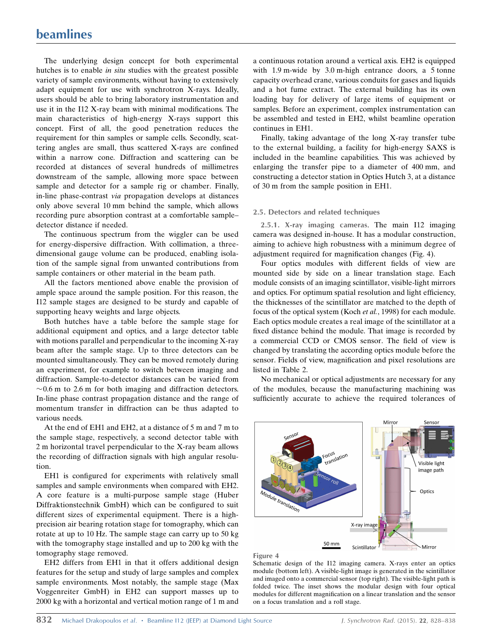The underlying design concept for both experimental hutches is to enable *in situ* studies with the greatest possible variety of sample environments, without having to extensively adapt equipment for use with synchrotron X-rays. Ideally, users should be able to bring laboratory instrumentation and use it in the I12 X-ray beam with minimal modifications. The main characteristics of high-energy X-rays support this concept. First of all, the good penetration reduces the requirement for thin samples or sample cells. Secondly, scattering angles are small, thus scattered X-rays are confined within a narrow cone. Diffraction and scattering can be recorded at distances of several hundreds of millimetres downstream of the sample, allowing more space between sample and detector for a sample rig or chamber. Finally, in-line phase-contrast via propagation develops at distances only above several 10 mm behind the sample, which allows recording pure absorption contrast at a comfortable sample– detector distance if needed.

The continuous spectrum from the wiggler can be used for energy-dispersive diffraction. With collimation, a threedimensional gauge volume can be produced, enabling isolation of the sample signal from unwanted contributions from sample containers or other material in the beam path.

All the factors mentioned above enable the provision of ample space around the sample position. For this reason, the I12 sample stages are designed to be sturdy and capable of supporting heavy weights and large objects.

Both hutches have a table before the sample stage for additional equipment and optics, and a large detector table with motions parallel and perpendicular to the incoming X-ray beam after the sample stage. Up to three detectors can be mounted simultaneously. They can be moved remotely during an experiment, for example to switch between imaging and diffraction. Sample-to-detector distances can be varied from  $\sim$  0.6 m to 2.6 m for both imaging and diffraction detectors. In-line phase contrast propagation distance and the range of momentum transfer in diffraction can be thus adapted to various needs.

At the end of EH1 and EH2, at a distance of 5 m and 7 m to the sample stage, respectively, a second detector table with 2 m horizontal travel perpendicular to the X-ray beam allows the recording of diffraction signals with high angular resolution.

EH1 is configured for experiments with relatively small samples and sample environments when compared with EH2. A core feature is a multi-purpose sample stage (Huber Diffraktionstechnik GmbH) which can be configured to suit different sizes of experimental equipment. There is a highprecision air bearing rotation stage for tomography, which can rotate at up to 10 Hz. The sample stage can carry up to 50 kg with the tomography stage installed and up to 200 kg with the tomography stage removed.

EH2 differs from EH1 in that it offers additional design features for the setup and study of large samples and complex sample environments. Most notably, the sample stage (Max Voggenreiter GmbH) in EH2 can support masses up to 2000 kg with a horizontal and vertical motion range of 1 m and a continuous rotation around a vertical axis. EH2 is equipped with 1.9 m-wide by 3.0 m-high entrance doors, a 5 tonne capacity overhead crane, various conduits for gases and liquids and a hot fume extract. The external building has its own loading bay for delivery of large items of equipment or samples. Before an experiment, complex instrumentation can be assembled and tested in EH2, whilst beamline operation continues in EH1.

Finally, taking advantage of the long X-ray transfer tube to the external building, a facility for high-energy SAXS is included in the beamline capabilities. This was achieved by enlarging the transfer pipe to a diameter of 400 mm, and constructing a detector station in Optics Hutch 3, at a distance of 30 m from the sample position in EH1.

#### 2.5. Detectors and related techniques

2.5.1. X-ray imaging cameras. The main I12 imaging camera was designed in-house. It has a modular construction, aiming to achieve high robustness with a minimum degree of adjustment required for magnification changes (Fig. 4).

Four optics modules with different fields of view are mounted side by side on a linear translation stage. Each module consists of an imaging scintillator, visible-light mirrors and optics. For optimum spatial resolution and light efficiency, the thicknesses of the scintillator are matched to the depth of focus of the optical system (Koch et al., 1998) for each module. Each optics module creates a real image of the scintillator at a fixed distance behind the module. That image is recorded by a commercial CCD or CMOS sensor. The field of view is changed by translating the according optics module before the sensor. Fields of view, magnification and pixel resolutions are listed in Table 2.

No mechanical or optical adjustments are necessary for any of the modules, because the manufacturing machining was sufficiently accurate to achieve the required tolerances of





Schematic design of the I12 imaging camera. X-rays enter an optics module (bottom left). A visible-light image is generated in the scintillator and imaged onto a commercial sensor (top right). The visible-light path is folded twice. The inset shows the modular design with four optical modules for different magnification on a linear translation and the sensor on a focus translation and a roll stage.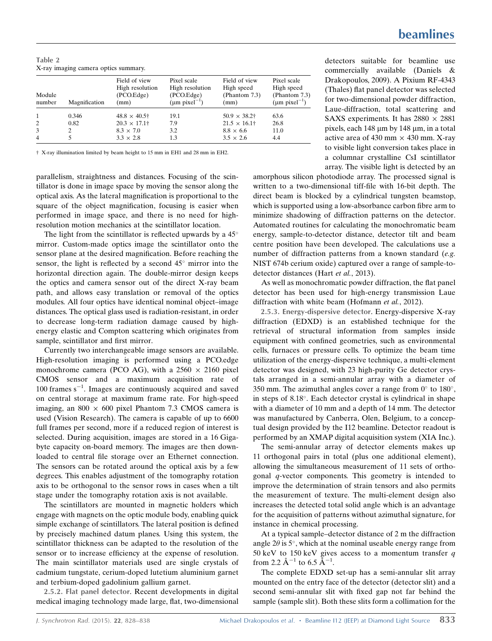Table 2 X-ray imaging camera optics summary.

| Module<br>number | Magnification | Field of view<br>High resolution<br>(PCO.Edge)<br>mm) | Pixel scale<br>High resolution<br>(PCO.Edge)<br>$(\mu m \text{ pixel}^{-1})$ | Field of view<br>High speed<br>(Phantom 7.3)<br>(mm) | Pixel scale<br>High speed<br>(Phantom 7.3)<br>$(\mu m \text{ pixel}^{-1})$ |
|------------------|---------------|-------------------------------------------------------|------------------------------------------------------------------------------|------------------------------------------------------|----------------------------------------------------------------------------|
| $\overline{1}$   | 0.346         | $48.8 \times 40.5$ <sup>+</sup>                       | 19.1                                                                         | $50.9 \times 38.2^+$                                 | 63.6                                                                       |
| 2                | 0.82          | $20.3 \times 17.1^+$                                  | 7.9                                                                          | $21.5 \times 16.1^+$                                 | 26.8                                                                       |
| 3                |               | $8.3 \times 7.0$                                      | 3.2                                                                          | $8.8 \times 6.6$                                     | 11.0                                                                       |
| $\overline{4}$   |               | $3.3 \times 2.8$                                      | 1.3                                                                          | $3.5 \times 2.6$                                     | 4.4                                                                        |

† X-ray illumination limited by beam height to 15 mm in EH1 and 28 mm in EH2.

parallelism, straightness and distances. Focusing of the scintillator is done in image space by moving the sensor along the optical axis. As the lateral magnification is proportional to the square of the object magnification, focusing is easier when performed in image space, and there is no need for highresolution motion mechanics at the scintillator location.

The light from the scintillator is reflected upwards by a  $45^{\circ}$ mirror. Custom-made optics image the scintillator onto the sensor plane at the desired magnification. Before reaching the sensor, the light is reflected by a second  $45^\circ$  mirror into the horizontal direction again. The double-mirror design keeps the optics and camera sensor out of the direct X-ray beam path, and allows easy translation or removal of the optics modules. All four optics have identical nominal object–image distances. The optical glass used is radiation-resistant, in order to decrease long-term radiation damage caused by highenergy elastic and Compton scattering which originates from sample, scintillator and first mirror.

Currently two interchangeable image sensors are available. High-resolution imaging is performed using a PCO.edge monochrome camera (PCO AG), with a  $2560 \times 2160$  pixel CMOS sensor and a maximum acquisition rate of 100 frames  $s^{-1}$ . Images are continuously acquired and saved on central storage at maximum frame rate. For high-speed imaging, an  $800 \times 600$  pixel Phantom 7.3 CMOS camera is used (Vision Research). The camera is capable of up to 6600 full frames per second, more if a reduced region of interest is selected. During acquisition, images are stored in a 16 Gigabyte capacity on-board memory. The images are then downloaded to central file storage over an Ethernet connection. The sensors can be rotated around the optical axis by a few degrees. This enables adjustment of the tomography rotation axis to be orthogonal to the sensor rows in cases when a tilt stage under the tomography rotation axis is not available.

The scintillators are mounted in magnetic holders which engage with magnets on the optic module body, enabling quick simple exchange of scintillators. The lateral position is defined by precisely machined datum planes. Using this system, the scintillator thickness can be adapted to the resolution of the sensor or to increase efficiency at the expense of resolution. The main scintillator materials used are single crystals of cadmium tungstate, cerium-doped lutetium aluminium garnet and terbium-doped gadolinium gallium garnet.

2.5.2. Flat panel detector. Recent developments in digital medical imaging technology made large, flat, two-dimensional detectors suitable for beamline use commercially available (Daniels & Drakopoulos, 2009). A Pixium RF-4343 (Thales) flat panel detector was selected for two-dimensional powder diffraction, Laue-diffraction, total scattering and SAXS experiments. It has  $2880 \times 2881$ pixels, each 148  $\mu$ m by 148  $\mu$ m, in a total active area of 430 mm  $\times$  430 mm. X-ray to visible light conversion takes place in a columnar crystalline CsI scintillator array. The visible light is detected by an

amorphous silicon photodiode array. The processed signal is written to a two-dimensional tiff-file with 16-bit depth. The direct beam is blocked by a cylindrical tungsten beamstop, which is supported using a low-absorbance carbon fibre arm to minimize shadowing of diffraction patterns on the detector. Automated routines for calculating the monochromatic beam energy, sample-to-detector distance, detector tilt and beam centre position have been developed. The calculations use a number of diffraction patterns from a known standard (e.g. NIST 674b cerium oxide) captured over a range of sample-todetector distances (Hart et al., 2013).

As well as monochromatic powder diffraction, the flat panel detector has been used for high-energy transmission Laue diffraction with white beam (Hofmann et al., 2012).

2.5.3. Energy-dispersive detector. Energy-dispersive X-ray diffraction (EDXD) is an established technique for the retrieval of structural information from samples inside equipment with confined geometries, such as environmental cells, furnaces or pressure cells. To optimize the beam time utilization of the energy-dispersive technique, a multi-element detector was designed, with 23 high-purity Ge detector crystals arranged in a semi-annular array with a diameter of 350 mm. The azimuthal angles cover a range from  $0^{\circ}$  to  $180^{\circ}$ , in steps of  $8.18^\circ$ . Each detector crystal is cylindrical in shape with a diameter of 10 mm and a depth of 14 mm. The detector was manufactured by Canberra, Olen, Belgium, to a conceptual design provided by the I12 beamline. Detector readout is performed by an XMAP digital acquisition system (XIA Inc.).

The semi-annular array of detector elements makes up 11 orthogonal pairs in total (plus one additional element), allowing the simultaneous measurement of 11 sets of orthogonal q-vector components. This geometry is intended to improve the determination of strain tensors and also permits the measurement of texture. The multi-element design also increases the detected total solid angle which is an advantage for the acquisition of patterns without azimuthal signature, for instance in chemical processing.

At a typical sample–detector distance of 2 m the diffraction angle  $2\theta$  is 5°, which at the nominal useable energy range from 50 keV to 150 keV gives access to a momentum transfer  $q$ from 2.2  $\rm \AA^{-1}$  to 6.5  $\rm \AA^{-1}$ .

The complete EDXD set-up has a semi-annular slit array mounted on the entry face of the detector (detector slit) and a second semi-annular slit with fixed gap not far behind the sample (sample slit). Both these slits form a collimation for the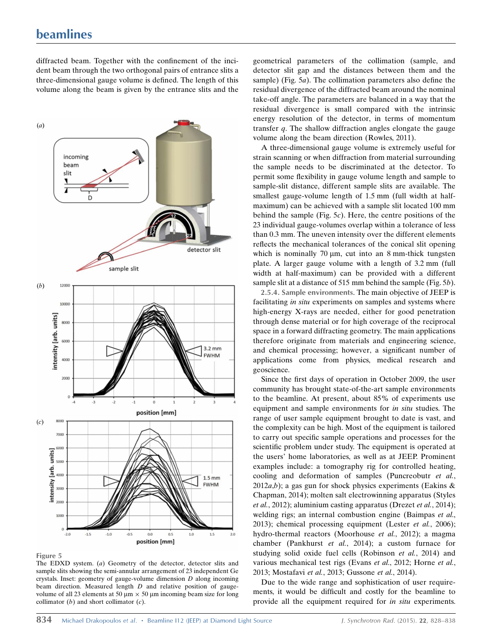# beamlines

diffracted beam. Together with the confinement of the incident beam through the two orthogonal pairs of entrance slits a three-dimensional gauge volume is defined. The length of this volume along the beam is given by the entrance slits and the



Figure 5

The EDXD system. (a) Geometry of the detector, detector slits and sample slits showing the semi-annular arrangement of 23 independent Ge crystals. Inset: geometry of gauge-volume dimension D along incoming beam direction. Measured length D and relative position of gaugevolume of all 23 elements at 50  $\mu$ m  $\times$  50  $\mu$ m incoming beam size for long collimator  $(b)$  and short collimator  $(c)$ .

geometrical parameters of the collimation (sample, and detector slit gap and the distances between them and the sample) (Fig.  $5a$ ). The collimation parameters also define the residual divergence of the diffracted beam around the nominal take-off angle. The parameters are balanced in a way that the residual divergence is small compared with the intrinsic energy resolution of the detector, in terms of momentum transfer  $q$ . The shallow diffraction angles elongate the gauge volume along the beam direction (Rowles, 2011).

A three-dimensional gauge volume is extremely useful for strain scanning or when diffraction from material surrounding the sample needs to be discriminated at the detector. To permit some flexibility in gauge volume length and sample to sample-slit distance, different sample slits are available. The smallest gauge-volume length of 1.5 mm (full width at halfmaximum) can be achieved with a sample slit located 100 mm behind the sample (Fig.  $5c$ ). Here, the centre positions of the 23 individual gauge-volumes overlap within a tolerance of less than 0.3 mm. The uneven intensity over the different elements reflects the mechanical tolerances of the conical slit opening which is nominally 70  $\mu$ m, cut into an 8 mm-thick tungsten plate. A larger gauge volume with a length of 3.2 mm (full width at half-maximum) can be provided with a different sample slit at a distance of 515 mm behind the sample (Fig. 5b).

2.5.4. Sample environments. The main objective of JEEP is facilitating in situ experiments on samples and systems where high-energy X-rays are needed, either for good penetration through dense material or for high coverage of the reciprocal space in a forward diffracting geometry. The main applications therefore originate from materials and engineering science, and chemical processing; however, a significant number of applications come from physics, medical research and geoscience.

Since the first days of operation in October 2009, the user community has brought state-of-the-art sample environments to the beamline. At present, about 85% of experiments use equipment and sample environments for in situ studies. The range of user sample equipment brought to date is vast, and the complexity can be high. Most of the equipment is tailored to carry out specific sample operations and processes for the scientific problem under study. The equipment is operated at the users' home laboratories, as well as at JEEP. Prominent examples include: a tomography rig for controlled heating, cooling and deformation of samples (Puncreobutr et al., 2012 $a,b$ ); a gas gun for shock physics experiments (Eakins & Chapman, 2014); molten salt electrowinning apparatus (Styles et al., 2012); aluminium casting apparatus (Drezet et al., 2014); welding rigs; an internal combustion engine (Baimpas et al., 2013); chemical processing equipment (Lester et al., 2006); hydro-thermal reactors (Moorhouse et al., 2012); a magma chamber (Pankhurst et al., 2014); a custom furnace for studying solid oxide fuel cells (Robinson et al., 2014) and various mechanical test rigs (Evans et al., 2012; Horne et al., 2013; Mostafavi et al., 2013; Gussone et al., 2014).

Due to the wide range and sophistication of user requirements, it would be difficult and costly for the beamline to provide all the equipment required for in situ experiments.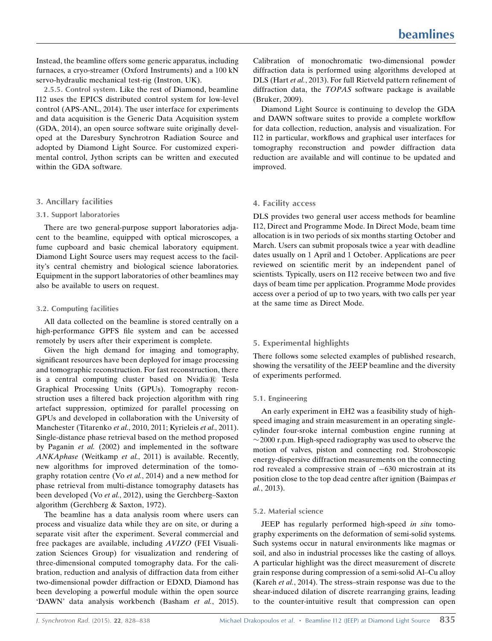Instead, the beamline offers some generic apparatus, including furnaces, a cryo-streamer (Oxford Instruments) and a 100 kN servo-hydraulic mechanical test-rig (Instron, UK).

2.5.5. Control system. Like the rest of Diamond, beamline I12 uses the EPICS distributed control system for low-level control (APS-ANL, 2014). The user interface for experiments and data acquisition is the Generic Data Acquisition system (GDA, 2014), an open source software suite originally developed at the Daresbury Synchrotron Radiation Source and adopted by Diamond Light Source. For customized experimental control, Jython scripts can be written and executed within the GDA software.

# 3. Ancillary facilities

#### 3.1. Support laboratories

There are two general-purpose support laboratories adjacent to the beamline, equipped with optical microscopes, a fume cupboard and basic chemical laboratory equipment. Diamond Light Source users may request access to the facility's central chemistry and biological science laboratories. Equipment in the support laboratories of other beamlines may also be available to users on request.

#### 3.2. Computing facilities

All data collected on the beamline is stored centrally on a high-performance GPFS file system and can be accessed remotely by users after their experiment is complete.

Given the high demand for imaging and tomography, significant resources have been deployed for image processing and tomographic reconstruction. For fast reconstruction, there is a central computing cluster based on Nvidia $\mathbb R$  Tesla Graphical Processing Units (GPUs). Tomography reconstruction uses a filtered back projection algorithm with ring artefact suppression, optimized for parallel processing on GPUs and developed in collaboration with the University of Manchester (Titarenko et al., 2010, 2011; Kyrieleis et al., 2011). Single-distance phase retrieval based on the method proposed by Paganin et al. (2002) and implemented in the software ANKAphase (Weitkamp et al., 2011) is available. Recently, new algorithms for improved determination of the tomography rotation centre (Vo et al., 2014) and a new method for phase retrieval from multi-distance tomography datasets has been developed (Vo et al., 2012), using the Gerchberg-Saxton algorithm (Gerchberg & Saxton, 1972).

The beamline has a data analysis room where users can process and visualize data while they are on site, or during a separate visit after the experiment. Several commercial and free packages are available, including AVIZO (FEI Visualization Sciences Group) for visualization and rendering of three-dimensional computed tomography data. For the calibration, reduction and analysis of diffraction data from either two-dimensional powder diffraction or EDXD, Diamond has been developing a powerful module within the open source 'DAWN' data analysis workbench (Basham et al., 2015). Calibration of monochromatic two-dimensional powder diffraction data is performed using algorithms developed at DLS (Hart et al., 2013). For full Rietveld pattern refinement of diffraction data, the TOPAS software package is available (Bruker, 2009).

Diamond Light Source is continuing to develop the GDA and DAWN software suites to provide a complete workflow for data collection, reduction, analysis and visualization. For I12 in particular, workflows and graphical user interfaces for tomography reconstruction and powder diffraction data reduction are available and will continue to be updated and improved.

# 4. Facility access

DLS provides two general user access methods for beamline I12, Direct and Programme Mode. In Direct Mode, beam time allocation is in two periods of six months starting October and March. Users can submit proposals twice a year with deadline dates usually on 1 April and 1 October. Applications are peer reviewed on scientific merit by an independent panel of scientists. Typically, users on I12 receive between two and five days of beam time per application. Programme Mode provides access over a period of up to two years, with two calls per year at the same time as Direct Mode.

#### 5. Experimental highlights

There follows some selected examples of published research, showing the versatility of the JEEP beamline and the diversity of experiments performed.

#### 5.1. Engineering

An early experiment in EH2 was a feasibility study of highspeed imaging and strain measurement in an operating singlecylinder four-sroke internal combustion engine running at  $\sim$  2000 r.p.m. High-speed radiography was used to observe the motion of valves, piston and connecting rod. Stroboscopic energy-dispersive diffraction measurements on the connecting rod revealed a compressive strain of  $-630$  microstrain at its position close to the top dead centre after ignition (Baimpas et al., 2013).

## 5.2. Material science

JEEP has regularly performed high-speed in situ tomography experiments on the deformation of semi-solid systems. Such systems occur in natural environments like magmas or soil, and also in industrial processes like the casting of alloys. A particular highlight was the direct measurement of discrete grain response during compression of a semi-solid Al–Cu alloy (Kareh et al., 2014). The stress–strain response was due to the shear-induced dilation of discrete rearranging grains, leading to the counter-intuitive result that compression can open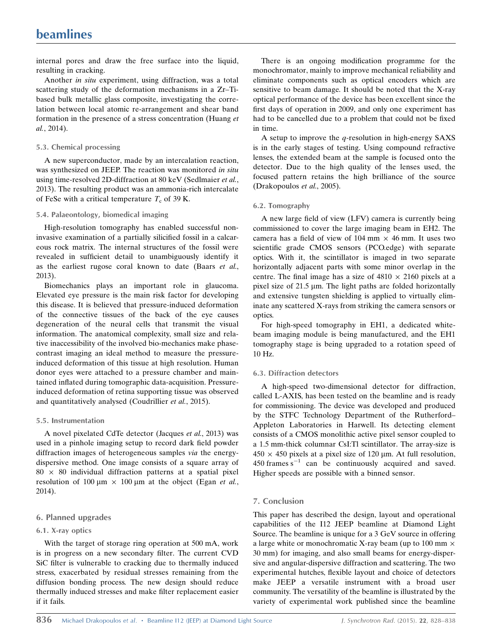internal pores and draw the free surface into the liquid, resulting in cracking.

Another in situ experiment, using diffraction, was a total scattering study of the deformation mechanisms in a Zr–Tibased bulk metallic glass composite, investigating the correlation between local atomic re-arrangement and shear band formation in the presence of a stress concentration (Huang et al., 2014).

#### 5.3. Chemical processing

A new superconductor, made by an intercalation reaction, was synthesized on JEEP. The reaction was monitored in situ using time-resolved 2D-diffraction at 80 keV (Sedlmaier et al., 2013). The resulting product was an ammonia-rich intercalate of FeSe with a critical temperature  $T_c$  of 39 K.

# 5.4. Palaeontology, biomedical imaging

High-resolution tomography has enabled successful noninvasive examination of a partially silicified fossil in a calcareous rock matrix. The internal structures of the fossil were revealed in sufficient detail to unambiguously identify it as the earliest rugose coral known to date (Baars et al., 2013).

Biomechanics plays an important role in glaucoma. Elevated eye pressure is the main risk factor for developing this disease. It is believed that pressure-induced deformation of the connective tissues of the back of the eye causes degeneration of the neural cells that transmit the visual information. The anatomical complexity, small size and relative inaccessibility of the involved bio-mechanics make phasecontrast imaging an ideal method to measure the pressureinduced deformation of this tissue at high resolution. Human donor eyes were attached to a pressure chamber and maintained inflated during tomographic data-acquisition. Pressureinduced deformation of retina supporting tissue was observed and quantitatively analysed (Coudrillier et al., 2015).

# 5.5. Instrumentation

A novel pixelated CdTe detector (Jacques et al., 2013) was used in a pinhole imaging setup to record dark field powder diffraction images of heterogeneous samples via the energydispersive method. One image consists of a square array of  $80 \times 80$  individual diffraction patterns at a spatial pixel resolution of 100  $\mu$ m  $\times$  100  $\mu$ m at the object (Egan et al., 2014).

# 6. Planned upgrades

# 6.1. X-ray optics

With the target of storage ring operation at 500 mA, work is in progress on a new secondary filter. The current CVD SiC filter is vulnerable to cracking due to thermally induced stress, exacerbated by residual stresses remaining from the diffusion bonding process. The new design should reduce thermally induced stresses and make filter replacement easier if it fails.

There is an ongoing modification programme for the monochromator, mainly to improve mechanical reliability and eliminate components such as optical encoders which are sensitive to beam damage. It should be noted that the X-ray optical performance of the device has been excellent since the first days of operation in 2009, and only one experiment has had to be cancelled due to a problem that could not be fixed in time.

A setup to improve the  $q$ -resolution in high-energy SAXS is in the early stages of testing. Using compound refractive lenses, the extended beam at the sample is focused onto the detector. Due to the high quality of the lenses used, the focused pattern retains the high brilliance of the source (Drakopoulos et al., 2005).

# 6.2. Tomography

A new large field of view (LFV) camera is currently being commissioned to cover the large imaging beam in EH2. The camera has a field of view of 104 mm  $\times$  46 mm. It uses two scientific grade CMOS sensors (PCO.edge) with separate optics. With it, the scintillator is imaged in two separate horizontally adjacent parts with some minor overlap in the centre. The final image has a size of  $4810 \times 2160$  pixels at a pixel size of  $21.5 \mu m$ . The light paths are folded horizontally and extensive tungsten shielding is applied to virtually eliminate any scattered X-rays from striking the camera sensors or optics.

For high-speed tomography in EH1, a dedicated whitebeam imaging module is being manufactured, and the EH1 tomography stage is being upgraded to a rotation speed of 10 Hz.

# 6.3. Diffraction detectors

A high-speed two-dimensional detector for diffraction, called L-AXIS, has been tested on the beamline and is ready for commissioning. The device was developed and produced by the STFC Technology Department of the Rutherford– Appleton Laboratories in Harwell. Its detecting element consists of a CMOS monolithic active pixel sensor coupled to a 1.5 mm-thick columnar CsI:Tl scintillator. The array-size is  $450 \times 450$  pixels at a pixel size of 120 µm. At full resolution,  $450$  frames  $s^{-1}$  can be continuously acquired and saved. Higher speeds are possible with a binned sensor.

# 7. Conclusion

This paper has described the design, layout and operational capabilities of the I12 JEEP beamline at Diamond Light Source. The beamline is unique for a 3 GeV source in offering a large white or monochromatic X-ray beam (up to 100 mm  $\times$ 30 mm) for imaging, and also small beams for energy-dispersive and angular-dispersive diffraction and scattering. The two experimental hutches, flexible layout and choice of detectors make JEEP a versatile instrument with a broad user community. The versatility of the beamline is illustrated by the variety of experimental work published since the beamline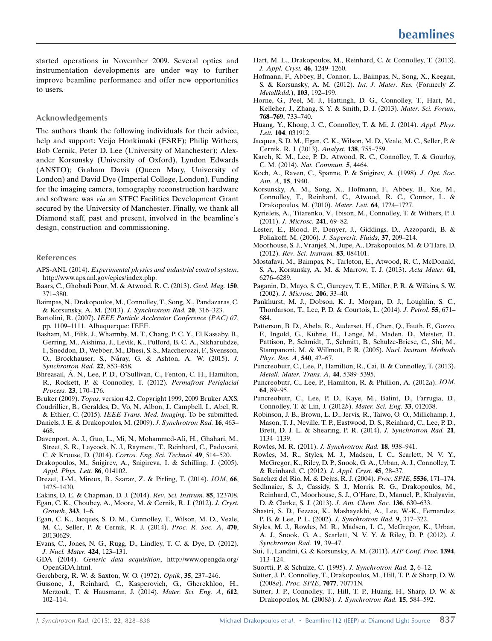started operations in November 2009. Several optics and instrumentation developments are under way to further improve beamline performance and offer new opportunities to users.

# Acknowledgements

The authors thank the following individuals for their advice, help and support: Veijo Honkimaki (ESRF); Philip Withers, Bob Cernik, Peter D. Lee (University of Manchester); Alexander Korsunsky (University of Oxford), Lyndon Edwards (ANSTO); Graham Davis (Queen Mary, University of London) and David Dye (Imperial College, London). Funding for the imaging camera, tomography reconstruction hardware and software was via an STFC Facilities Development Grant secured by the University of Manchester. Finally, we thank all Diamond staff, past and present, involved in the beamline's design, construction and commissioning.

#### References

- APS-ANL (2014). [Experimental physics and industrial control system](http://scripts.iucr.org/cgi-bin/cr.cgi?rm=pdfbb&cnor=ie5138&bbid=BB1), [http://www.aps.anl.gov/epics/index.php.](http://scripts.iucr.org/cgi-bin/cr.cgi?rm=pdfbb&cnor=ie5138&bbid=BB1)
- [Baars, C., Ghobadi Pour, M. & Atwood, R. C. \(2013\).](http://scripts.iucr.org/cgi-bin/cr.cgi?rm=pdfbb&cnor=ie5138&bbid=BB2) Geol. Mag. 150, [371–380.](http://scripts.iucr.org/cgi-bin/cr.cgi?rm=pdfbb&cnor=ie5138&bbid=BB2)
- [Baimpas, N., Drakopoulos, M., Connolley, T., Song, X., Pandazaras, C.](http://scripts.iucr.org/cgi-bin/cr.cgi?rm=pdfbb&cnor=ie5138&bbid=BB3) [& Korsunsky, A. M. \(2013\).](http://scripts.iucr.org/cgi-bin/cr.cgi?rm=pdfbb&cnor=ie5138&bbid=BB3) J. Synchrotron Rad. 20, 316–323.
- Bartolini, R. (2007). [IEEE Particle Acclerator Conference \(PAC\) 07](http://scripts.iucr.org/cgi-bin/cr.cgi?rm=pdfbb&cnor=ie5138&bbid=BB4), [pp. 1109–1111. Albuquerque: IEEE.](http://scripts.iucr.org/cgi-bin/cr.cgi?rm=pdfbb&cnor=ie5138&bbid=BB4)
- [Basham, M., Filik, J., Wharmby, M. T., Chang, P. C. Y., El Kassaby, B.,](http://scripts.iucr.org/cgi-bin/cr.cgi?rm=pdfbb&cnor=ie5138&bbid=BB10) [Gerring, M., Aishima, J., Levik, K., Pulford, B. C. A., Sikharulidze,](http://scripts.iucr.org/cgi-bin/cr.cgi?rm=pdfbb&cnor=ie5138&bbid=BB10) [I., Sneddon, D., Webber, M., Dhesi, S. S., Maccherozzi, F., Svensson,](http://scripts.iucr.org/cgi-bin/cr.cgi?rm=pdfbb&cnor=ie5138&bbid=BB10) O., Brockhauser, S., Náray, G. & Ashton, A. W. (2015). J. [Synchrotron Rad.](http://scripts.iucr.org/cgi-bin/cr.cgi?rm=pdfbb&cnor=ie5138&bbid=BB10) 22, 853–858.
- Bhreasail, Á[. N., Lee, P. D., O'Sullivan, C., Fenton, C. H., Hamilton,](http://scripts.iucr.org/cgi-bin/cr.cgi?rm=pdfbb&cnor=ie5138&bbid=BB5) [R., Rockett, P. & Connolley, T. \(2012\).](http://scripts.iucr.org/cgi-bin/cr.cgi?rm=pdfbb&cnor=ie5138&bbid=BB5) Permafrost Periglacial Process. 23[, 170–176.](http://scripts.iucr.org/cgi-bin/cr.cgi?rm=pdfbb&cnor=ie5138&bbid=BB5)
- Bruker (2009). Topas[, version 4.2. Copyright 1999, 2009 Bruker AXS.](http://scripts.iucr.org/cgi-bin/cr.cgi?rm=pdfbb&cnor=ie5138&bbid=BB6)
- [Coudrillier, B., Geraldes, D., Vo, N., Albon, J., Campbell, I., Abel, R.](http://scripts.iucr.org/cgi-bin/cr.cgi?rm=pdfbb&cnor=ie5138&bbid=BB7) & Ethier, C. (2015). [IEEE Trans. Med. Imaging.](http://scripts.iucr.org/cgi-bin/cr.cgi?rm=pdfbb&cnor=ie5138&bbid=BB7) To be submitted.
- [Daniels, J. E. & Drakopoulos, M. \(2009\).](http://scripts.iucr.org/cgi-bin/cr.cgi?rm=pdfbb&cnor=ie5138&bbid=BB8) J. Synchrotron Rad. 16, 463– [468.](http://scripts.iucr.org/cgi-bin/cr.cgi?rm=pdfbb&cnor=ie5138&bbid=BB8)
- [Davenport, A. J., Guo, L., Mi, N., Mohammed-Ali, H., Ghahari, M.,](http://scripts.iucr.org/cgi-bin/cr.cgi?rm=pdfbb&cnor=ie5138&bbid=BB9) [Street, S. R., Laycock, N. J., Rayment, T., Reinhard, C., Padovani,](http://scripts.iucr.org/cgi-bin/cr.cgi?rm=pdfbb&cnor=ie5138&bbid=BB9) C. & Krouse, D. (2014). [Corros. Eng. Sci. Technol.](http://scripts.iucr.org/cgi-bin/cr.cgi?rm=pdfbb&cnor=ie5138&bbid=BB9) 49, 514–520.
- [Drakopoulos, M., Snigirev, A., Snigireva, I. & Schilling, J. \(2005\).](http://scripts.iucr.org/cgi-bin/cr.cgi?rm=pdfbb&cnor=ie5138&bbid=BB11) [Appl. Phys. Lett.](http://scripts.iucr.org/cgi-bin/cr.cgi?rm=pdfbb&cnor=ie5138&bbid=BB11) 86, 014102.
- [Drezet, J.-M., Mireux, B., Szaraz, Z. & Pirling, T. \(2014\).](http://scripts.iucr.org/cgi-bin/cr.cgi?rm=pdfbb&cnor=ie5138&bbid=BB12) JOM, 66, [1425–1430.](http://scripts.iucr.org/cgi-bin/cr.cgi?rm=pdfbb&cnor=ie5138&bbid=BB12)
- [Eakins, D. E. & Chapman, D. J. \(2014\).](http://scripts.iucr.org/cgi-bin/cr.cgi?rm=pdfbb&cnor=ie5138&bbid=BB13) Rev. Sci. Instrum. 85, 123708.
- [Egan, C. K., Choubey, A., Moore, M. & Cernik, R. J. \(2012\).](http://scripts.iucr.org/cgi-bin/cr.cgi?rm=pdfbb&cnor=ie5138&bbid=BB14) J. Cryst. [Growth](http://scripts.iucr.org/cgi-bin/cr.cgi?rm=pdfbb&cnor=ie5138&bbid=BB14), 343, 1–6.
- [Egan, C. K., Jacques, S. D. M., Connolley, T., Wilson, M. D., Veale,](http://scripts.iucr.org/cgi-bin/cr.cgi?rm=pdfbb&cnor=ie5138&bbid=BB15) [M. C., Seller, P. & Cernik, R. J. \(2014\).](http://scripts.iucr.org/cgi-bin/cr.cgi?rm=pdfbb&cnor=ie5138&bbid=BB15) Proc. R. Soc. A, 470, [20130629.](http://scripts.iucr.org/cgi-bin/cr.cgi?rm=pdfbb&cnor=ie5138&bbid=BB15)
- [Evans, C., Jones, N. G., Rugg, D., Lindley, T. C. & Dye, D. \(2012\).](http://scripts.iucr.org/cgi-bin/cr.cgi?rm=pdfbb&cnor=ie5138&bbid=BB16) [J. Nucl. Mater.](http://scripts.iucr.org/cgi-bin/cr.cgi?rm=pdfbb&cnor=ie5138&bbid=BB16) 424, 123–131.
- GDA (2014). Generic data acquisition[, http://www.opengda.org/](http://scripts.iucr.org/cgi-bin/cr.cgi?rm=pdfbb&cnor=ie5138&bbid=BB17) [OpenGDA.html.](http://scripts.iucr.org/cgi-bin/cr.cgi?rm=pdfbb&cnor=ie5138&bbid=BB17)
- [Gerchberg, R. W. & Saxton, W. O. \(1972\).](http://scripts.iucr.org/cgi-bin/cr.cgi?rm=pdfbb&cnor=ie5138&bbid=BB18) Optik, 35, 237–246.
- [Gussone, J., Reinhard, C., Kasperovich, G., Gherekhloo, H.,](http://scripts.iucr.org/cgi-bin/cr.cgi?rm=pdfbb&cnor=ie5138&bbid=BB19) [Merzouk, T. & Hausmann, J. \(2014\).](http://scripts.iucr.org/cgi-bin/cr.cgi?rm=pdfbb&cnor=ie5138&bbid=BB19) Mater. Sci. Eng. A, 612, [102–114.](http://scripts.iucr.org/cgi-bin/cr.cgi?rm=pdfbb&cnor=ie5138&bbid=BB19)
- [Hart, M. L., Drakopoulos, M., Reinhard, C. & Connolley, T. \(2013\).](http://scripts.iucr.org/cgi-bin/cr.cgi?rm=pdfbb&cnor=ie5138&bbid=BB20) [J. Appl. Cryst.](http://scripts.iucr.org/cgi-bin/cr.cgi?rm=pdfbb&cnor=ie5138&bbid=BB20) 46, 1249–1260.
- [Hofmann, F., Abbey, B., Connor, L., Baimpas, N., Song, X., Keegan,](http://scripts.iucr.org/cgi-bin/cr.cgi?rm=pdfbb&cnor=ie5138&bbid=BB21) [S. & Korsunsky, A. M. \(2012\).](http://scripts.iucr.org/cgi-bin/cr.cgi?rm=pdfbb&cnor=ie5138&bbid=BB21) Int. J. Mater. Res. (Formerly Z. [Metallkdd.](http://scripts.iucr.org/cgi-bin/cr.cgi?rm=pdfbb&cnor=ie5138&bbid=BB21)), 103, 192–199.
- [Horne, G., Peel, M. J., Hattingh, D. G., Connolley, T., Hart, M.,](http://scripts.iucr.org/cgi-bin/cr.cgi?rm=pdfbb&cnor=ie5138&bbid=BB22) [Kelleher, J., Zhang, S. Y. & Smith, D. J. \(2013\).](http://scripts.iucr.org/cgi-bin/cr.cgi?rm=pdfbb&cnor=ie5138&bbid=BB22) Mater. Sci. Forum, 768–769[, 733–740.](http://scripts.iucr.org/cgi-bin/cr.cgi?rm=pdfbb&cnor=ie5138&bbid=BB22)
- [Huang, Y., Khong, J. C., Connolley, T. & Mi, J. \(2014\).](http://scripts.iucr.org/cgi-bin/cr.cgi?rm=pdfbb&cnor=ie5138&bbid=BB23) Appl. Phys. Lett. 104[, 031912.](http://scripts.iucr.org/cgi-bin/cr.cgi?rm=pdfbb&cnor=ie5138&bbid=BB23)
- [Jacques, S. D. M., Egan, C. K., Wilson, M. D., Veale, M. C., Seller, P. &](http://scripts.iucr.org/cgi-bin/cr.cgi?rm=pdfbb&cnor=ie5138&bbid=BB24) [Cernik, R. J. \(2013\).](http://scripts.iucr.org/cgi-bin/cr.cgi?rm=pdfbb&cnor=ie5138&bbid=BB24) Analyst, 138, 755–759.
- [Kareh, K. M., Lee, P. D., Atwood, R. C., Connolley, T. & Gourlay,](http://scripts.iucr.org/cgi-bin/cr.cgi?rm=pdfbb&cnor=ie5138&bbid=BB25) C. M. (2014). [Nat. Commun.](http://scripts.iucr.org/cgi-bin/cr.cgi?rm=pdfbb&cnor=ie5138&bbid=BB25) 5, 4464.
- [Koch, A., Raven, C., Spanne, P. & Snigirev, A. \(1998\).](http://scripts.iucr.org/cgi-bin/cr.cgi?rm=pdfbb&cnor=ie5138&bbid=BB26) J. Opt. Soc. [Am. A](http://scripts.iucr.org/cgi-bin/cr.cgi?rm=pdfbb&cnor=ie5138&bbid=BB26), 15, 1940.
- [Korsunsky, A. M., Song, X., Hofmann, F., Abbey, B., Xie, M.,](http://scripts.iucr.org/cgi-bin/cr.cgi?rm=pdfbb&cnor=ie5138&bbid=BB27) [Connolley, T., Reinhard, C., Atwood, R. C., Connor, L. &](http://scripts.iucr.org/cgi-bin/cr.cgi?rm=pdfbb&cnor=ie5138&bbid=BB27) [Drakopoulos, M. \(2010\).](http://scripts.iucr.org/cgi-bin/cr.cgi?rm=pdfbb&cnor=ie5138&bbid=BB27) Mater. Lett. 64, 1724–1727.
- [Kyrieleis, A., Titarenko, V., Ibison, M., Connolley, T. & Withers, P. J.](http://scripts.iucr.org/cgi-bin/cr.cgi?rm=pdfbb&cnor=ie5138&bbid=BB28) (2011). [J. Microsc.](http://scripts.iucr.org/cgi-bin/cr.cgi?rm=pdfbb&cnor=ie5138&bbid=BB28) 241, 69–82.
- [Lester, E., Blood, P., Denyer, J., Giddings, D., Azzopardi, B. &](http://scripts.iucr.org/cgi-bin/cr.cgi?rm=pdfbb&cnor=ie5138&bbid=BB29) [Poliakoff, M. \(2006\).](http://scripts.iucr.org/cgi-bin/cr.cgi?rm=pdfbb&cnor=ie5138&bbid=BB29) J. Supercrit. Fluids, 37, 209–214.
- Moorhouse, S. J., Vranješ, N., Jupe, A., Drakopoulos, M. & O'Hare, D. (2012). [Rev. Sci. Instrum.](http://scripts.iucr.org/cgi-bin/cr.cgi?rm=pdfbb&cnor=ie5138&bbid=BB30) 83, 084101.
- [Mostafavi, M., Baimpas, N., Tarleton, E., Atwood, R. C., McDonald,](http://scripts.iucr.org/cgi-bin/cr.cgi?rm=pdfbb&cnor=ie5138&bbid=BB31) [S. A., Korsunsky, A. M. & Marrow, T. J. \(2013\).](http://scripts.iucr.org/cgi-bin/cr.cgi?rm=pdfbb&cnor=ie5138&bbid=BB31) Acta Mater. 61, [6276–6289.](http://scripts.iucr.org/cgi-bin/cr.cgi?rm=pdfbb&cnor=ie5138&bbid=BB31)
- [Paganin, D., Mayo, S. C., Gureyev, T. E., Miller, P. R. & Wilkins, S. W.](http://scripts.iucr.org/cgi-bin/cr.cgi?rm=pdfbb&cnor=ie5138&bbid=BB32) (2002). [J. Microsc.](http://scripts.iucr.org/cgi-bin/cr.cgi?rm=pdfbb&cnor=ie5138&bbid=BB32) 206, 33–40.
- [Pankhurst, M. J., Dobson, K. J., Morgan, D. J., Loughlin, S. C.,](http://scripts.iucr.org/cgi-bin/cr.cgi?rm=pdfbb&cnor=ie5138&bbid=BB33) [Thordarson, T., Lee, P. D. & Courtois, L. \(2014\).](http://scripts.iucr.org/cgi-bin/cr.cgi?rm=pdfbb&cnor=ie5138&bbid=BB33) J. Petrol. 55, 671– [684.](http://scripts.iucr.org/cgi-bin/cr.cgi?rm=pdfbb&cnor=ie5138&bbid=BB33)
- [Patterson, B. D., Abela, R., Auderset, H., Chen, Q., Fauth, F., Gozzo,](http://scripts.iucr.org/cgi-bin/cr.cgi?rm=pdfbb&cnor=ie5138&bbid=BB34) F., Ingold, G., Kühne, H., Lange, M., Maden, D., Meister, D., [Pattison, P., Schmidt, T., Schmitt, B., Schulze-Briese, C., Shi, M.,](http://scripts.iucr.org/cgi-bin/cr.cgi?rm=pdfbb&cnor=ie5138&bbid=BB34) [Stampanoni, M. & Willmott, P. R. \(2005\).](http://scripts.iucr.org/cgi-bin/cr.cgi?rm=pdfbb&cnor=ie5138&bbid=BB34) Nucl. Instrum. Methods [Phys. Res. A](http://scripts.iucr.org/cgi-bin/cr.cgi?rm=pdfbb&cnor=ie5138&bbid=BB34), 540, 42–67.
- [Puncreobutr, C., Lee, P., Hamilton, R., Cai, B. & Connolley, T. \(2013\).](http://scripts.iucr.org/cgi-bin/cr.cgi?rm=pdfbb&cnor=ie5138&bbid=BB35) [Metall. Mater. Trans. A](http://scripts.iucr.org/cgi-bin/cr.cgi?rm=pdfbb&cnor=ie5138&bbid=BB35), 44, 5389–5395.
- [Puncreobutr, C., Lee, P., Hamilton, R. & Phillion, A. \(2012](http://scripts.iucr.org/cgi-bin/cr.cgi?rm=pdfbb&cnor=ie5138&bbid=BB36)a). JOM, 64[, 89–95.](http://scripts.iucr.org/cgi-bin/cr.cgi?rm=pdfbb&cnor=ie5138&bbid=BB36)
- [Puncreobutr, C., Lee, P. D., Kaye, M., Balint, D., Farrugia, D.,](http://scripts.iucr.org/cgi-bin/cr.cgi?rm=pdfbb&cnor=ie5138&bbid=BB37) [Connolley, T. & Lin, J. \(2012](http://scripts.iucr.org/cgi-bin/cr.cgi?rm=pdfbb&cnor=ie5138&bbid=BB37)b). Mater. Sci. Eng. 33, 012038.
- [Robinson, J. B., Brown, L. D., Jervis, R., Taiwo, O. O., Millichamp, J.,](http://scripts.iucr.org/cgi-bin/cr.cgi?rm=pdfbb&cnor=ie5138&bbid=BB38) [Mason, T. J., Neville, T. P., Eastwood, D. S., Reinhard, C., Lee, P. D.,](http://scripts.iucr.org/cgi-bin/cr.cgi?rm=pdfbb&cnor=ie5138&bbid=BB38) [Brett, D. J. L. & Shearing, P. R. \(2014\).](http://scripts.iucr.org/cgi-bin/cr.cgi?rm=pdfbb&cnor=ie5138&bbid=BB38) J. Synchrotron Rad. 21, [1134–1139.](http://scripts.iucr.org/cgi-bin/cr.cgi?rm=pdfbb&cnor=ie5138&bbid=BB38)
- [Rowles, M. R. \(2011\).](http://scripts.iucr.org/cgi-bin/cr.cgi?rm=pdfbb&cnor=ie5138&bbid=BB39) J. Synchrotron Rad. 18, 938–941.
- [Rowles, M. R., Styles, M. J., Madsen, I. C., Scarlett, N. V. Y.,](http://scripts.iucr.org/cgi-bin/cr.cgi?rm=pdfbb&cnor=ie5138&bbid=BB40) [McGregor, K., Riley, D. P., Snook, G. A., Urban, A. J., Connolley, T.](http://scripts.iucr.org/cgi-bin/cr.cgi?rm=pdfbb&cnor=ie5138&bbid=BB40) [& Reinhard, C. \(2012\).](http://scripts.iucr.org/cgi-bin/cr.cgi?rm=pdfbb&cnor=ie5138&bbid=BB40) J. Appl. Cryst. 45, 28–37.

- [Sedlmaier, S. J., Cassidy, S. J., Morris, R. G., Drakopoulos, M.,](http://scripts.iucr.org/cgi-bin/cr.cgi?rm=pdfbb&cnor=ie5138&bbid=BB42) [Reinhard, C., Moorhouse, S. J., O'Hare, D., Manuel, P., Khalyavin,](http://scripts.iucr.org/cgi-bin/cr.cgi?rm=pdfbb&cnor=ie5138&bbid=BB42) [D. & Clarke, S. J. \(2013\).](http://scripts.iucr.org/cgi-bin/cr.cgi?rm=pdfbb&cnor=ie5138&bbid=BB42) J. Am. Chem. Soc. 136, 630–633.
- [Shastri, S. D., Fezzaa, K., Mashayekhi, A., Lee, W.-K., Fernandez,](http://scripts.iucr.org/cgi-bin/cr.cgi?rm=pdfbb&cnor=ie5138&bbid=BB43) [P. B. & Lee, P. L. \(2002\).](http://scripts.iucr.org/cgi-bin/cr.cgi?rm=pdfbb&cnor=ie5138&bbid=BB43) J. Synchrotron Rad. 9, 317–322.
- [Styles, M. J., Rowles, M. R., Madsen, I. C., McGregor, K., Urban,](http://scripts.iucr.org/cgi-bin/cr.cgi?rm=pdfbb&cnor=ie5138&bbid=BB44) [A. J., Snook, G. A., Scarlett, N. V. Y. & Riley, D. P. \(2012\).](http://scripts.iucr.org/cgi-bin/cr.cgi?rm=pdfbb&cnor=ie5138&bbid=BB44) J. [Synchrotron Rad.](http://scripts.iucr.org/cgi-bin/cr.cgi?rm=pdfbb&cnor=ie5138&bbid=BB44) 19, 39–47.
- [Sui, T., Landini, G. & Korsunsky, A. M. \(2011\).](http://scripts.iucr.org/cgi-bin/cr.cgi?rm=pdfbb&cnor=ie5138&bbid=BB45) AIP Conf. Proc. 1394, [113–124.](http://scripts.iucr.org/cgi-bin/cr.cgi?rm=pdfbb&cnor=ie5138&bbid=BB45)
- [Suortti, P. & Schulze, C. \(1995\).](http://scripts.iucr.org/cgi-bin/cr.cgi?rm=pdfbb&cnor=ie5138&bbid=BB46) J. Synchrotron Rad. 2, 6–12.
- [Sutter, J. P., Connolley, T., Drakopoulos, M., Hill, T. P. & Sharp, D. W.](http://scripts.iucr.org/cgi-bin/cr.cgi?rm=pdfbb&cnor=ie5138&bbid=BB47) (2008a). [Proc. SPIE](http://scripts.iucr.org/cgi-bin/cr.cgi?rm=pdfbb&cnor=ie5138&bbid=BB47), 7077, 70771N.
- [Sutter, J. P., Connolley, T., Hill, T. P., Huang, H., Sharp, D. W. &](http://scripts.iucr.org/cgi-bin/cr.cgi?rm=pdfbb&cnor=ie5138&bbid=BB48) [Drakopoulos, M. \(2008](http://scripts.iucr.org/cgi-bin/cr.cgi?rm=pdfbb&cnor=ie5138&bbid=BB48)b). J. Synchrotron Rad. 15, 584–592.

[Sanchez del Rio, M. & Dejus, R. J. \(2004\).](http://scripts.iucr.org/cgi-bin/cr.cgi?rm=pdfbb&cnor=ie5138&bbid=BB41) Proc. SPIE, 5536, 171–174.